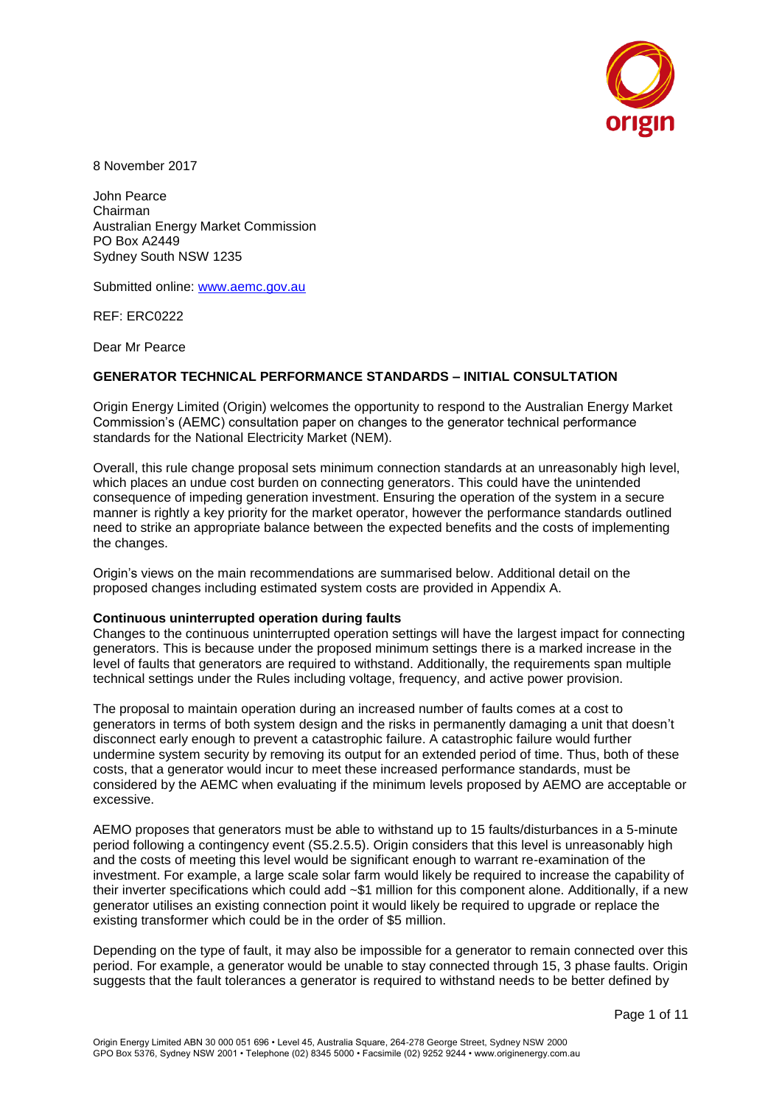

8 November 2017

John Pearce Chairman Australian Energy Market Commission PO Box A2449 Sydney South NSW 1235

Submitted online: [www.aemc.gov.au](http://www.aemc.gov.au/)

REF: ERC0222

Dear Mr Pearce

## **GENERATOR TECHNICAL PERFORMANCE STANDARDS – INITIAL CONSULTATION**

Origin Energy Limited (Origin) welcomes the opportunity to respond to the Australian Energy Market Commission's (AEMC) consultation paper on changes to the generator technical performance standards for the National Electricity Market (NEM).

Overall, this rule change proposal sets minimum connection standards at an unreasonably high level, which places an undue cost burden on connecting generators. This could have the unintended consequence of impeding generation investment. Ensuring the operation of the system in a secure manner is rightly a key priority for the market operator, however the performance standards outlined need to strike an appropriate balance between the expected benefits and the costs of implementing the changes.

Origin's views on the main recommendations are summarised below. Additional detail on the proposed changes including estimated system costs are provided in Appendix A.

## **Continuous uninterrupted operation during faults**

Changes to the continuous uninterrupted operation settings will have the largest impact for connecting generators. This is because under the proposed minimum settings there is a marked increase in the level of faults that generators are required to withstand. Additionally, the requirements span multiple technical settings under the Rules including voltage, frequency, and active power provision.

The proposal to maintain operation during an increased number of faults comes at a cost to generators in terms of both system design and the risks in permanently damaging a unit that doesn't disconnect early enough to prevent a catastrophic failure. A catastrophic failure would further undermine system security by removing its output for an extended period of time. Thus, both of these costs, that a generator would incur to meet these increased performance standards, must be considered by the AEMC when evaluating if the minimum levels proposed by AEMO are acceptable or excessive.

AEMO proposes that generators must be able to withstand up to 15 faults/disturbances in a 5-minute period following a contingency event (S5.2.5.5). Origin considers that this level is unreasonably high and the costs of meeting this level would be significant enough to warrant re-examination of the investment. For example, a large scale solar farm would likely be required to increase the capability of their inverter specifications which could add ~\$1 million for this component alone. Additionally, if a new generator utilises an existing connection point it would likely be required to upgrade or replace the existing transformer which could be in the order of \$5 million.

Depending on the type of fault, it may also be impossible for a generator to remain connected over this period. For example, a generator would be unable to stay connected through 15, 3 phase faults. Origin suggests that the fault tolerances a generator is required to withstand needs to be better defined by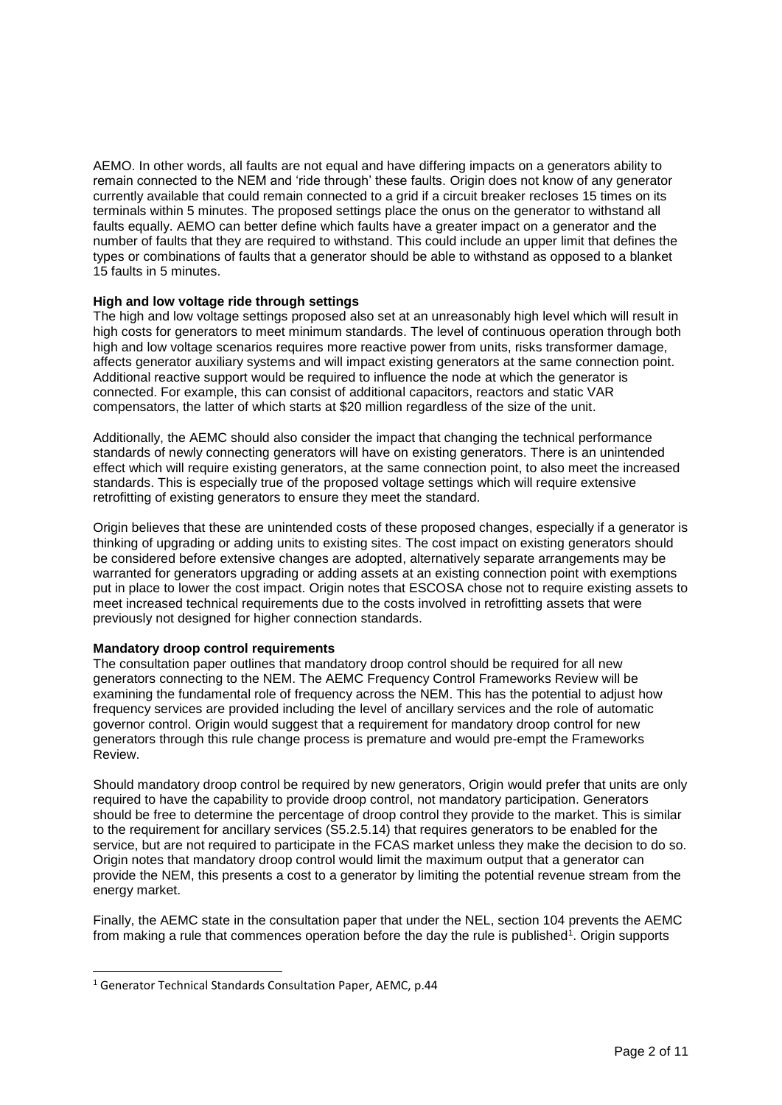AEMO. In other words, all faults are not equal and have differing impacts on a generators ability to remain connected to the NEM and 'ride through' these faults. Origin does not know of any generator currently available that could remain connected to a grid if a circuit breaker recloses 15 times on its terminals within 5 minutes. The proposed settings place the onus on the generator to withstand all faults equally. AEMO can better define which faults have a greater impact on a generator and the number of faults that they are required to withstand. This could include an upper limit that defines the types or combinations of faults that a generator should be able to withstand as opposed to a blanket 15 faults in 5 minutes.

## **High and low voltage ride through settings**

The high and low voltage settings proposed also set at an unreasonably high level which will result in high costs for generators to meet minimum standards. The level of continuous operation through both high and low voltage scenarios requires more reactive power from units, risks transformer damage, affects generator auxiliary systems and will impact existing generators at the same connection point. Additional reactive support would be required to influence the node at which the generator is connected. For example, this can consist of additional capacitors, reactors and static VAR compensators, the latter of which starts at \$20 million regardless of the size of the unit.

Additionally, the AEMC should also consider the impact that changing the technical performance standards of newly connecting generators will have on existing generators. There is an unintended effect which will require existing generators, at the same connection point, to also meet the increased standards. This is especially true of the proposed voltage settings which will require extensive retrofitting of existing generators to ensure they meet the standard.

Origin believes that these are unintended costs of these proposed changes, especially if a generator is thinking of upgrading or adding units to existing sites. The cost impact on existing generators should be considered before extensive changes are adopted, alternatively separate arrangements may be warranted for generators upgrading or adding assets at an existing connection point with exemptions put in place to lower the cost impact. Origin notes that ESCOSA chose not to require existing assets to meet increased technical requirements due to the costs involved in retrofitting assets that were previously not designed for higher connection standards.

## **Mandatory droop control requirements**

The consultation paper outlines that mandatory droop control should be required for all new generators connecting to the NEM. The AEMC Frequency Control Frameworks Review will be examining the fundamental role of frequency across the NEM. This has the potential to adjust how frequency services are provided including the level of ancillary services and the role of automatic governor control. Origin would suggest that a requirement for mandatory droop control for new generators through this rule change process is premature and would pre-empt the Frameworks Review.

Should mandatory droop control be required by new generators, Origin would prefer that units are only required to have the capability to provide droop control, not mandatory participation. Generators should be free to determine the percentage of droop control they provide to the market. This is similar to the requirement for ancillary services (S5.2.5.14) that requires generators to be enabled for the service, but are not required to participate in the FCAS market unless they make the decision to do so. Origin notes that mandatory droop control would limit the maximum output that a generator can provide the NEM, this presents a cost to a generator by limiting the potential revenue stream from the energy market.

Finally, the AEMC state in the consultation paper that under the NEL, section 104 prevents the AEMC from making a rule that commences operation before the day the rule is published<sup>1</sup>. Origin supports

 $\overline{a}$ 

<sup>1</sup> Generator Technical Standards Consultation Paper, AEMC, p.44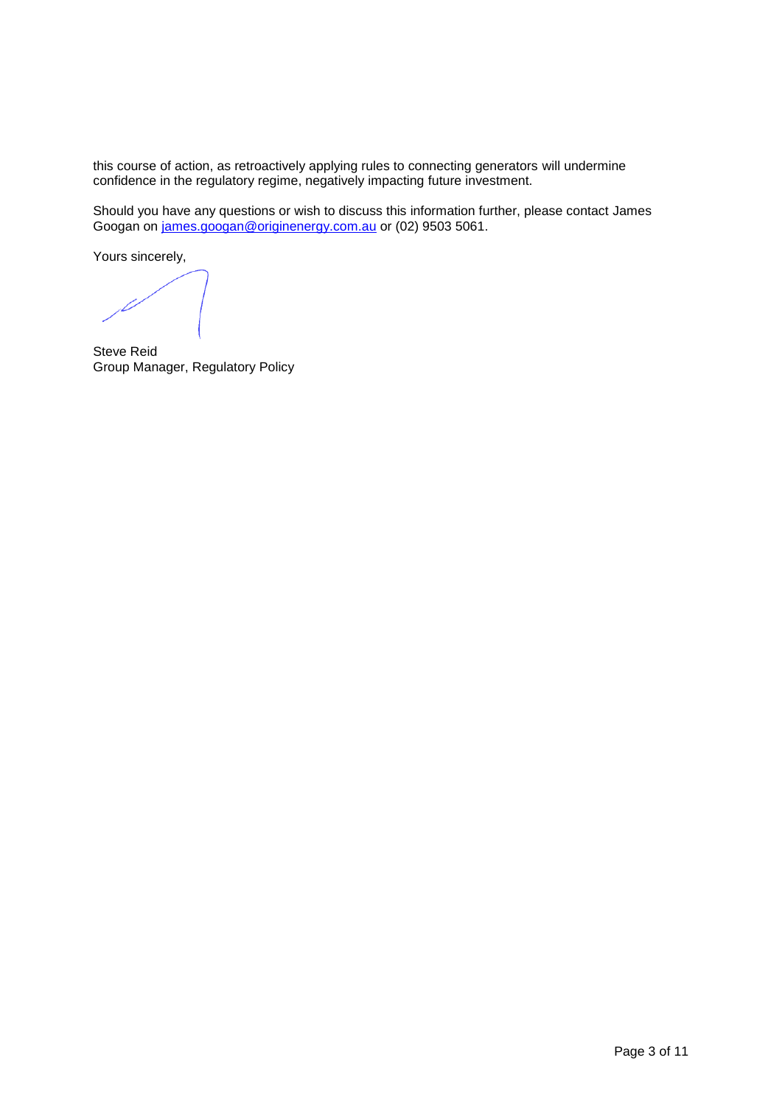this course of action, as retroactively applying rules to connecting generators will undermine confidence in the regulatory regime, negatively impacting future investment.

Should you have any questions or wish to discuss this information further, please contact James Googan on [james.googan@originenergy.com.au](mailto:james.googan@originenergy.com.au) or (02) 9503 5061.

Yours sincerely,

Steve Reid Group Manager, Regulatory Policy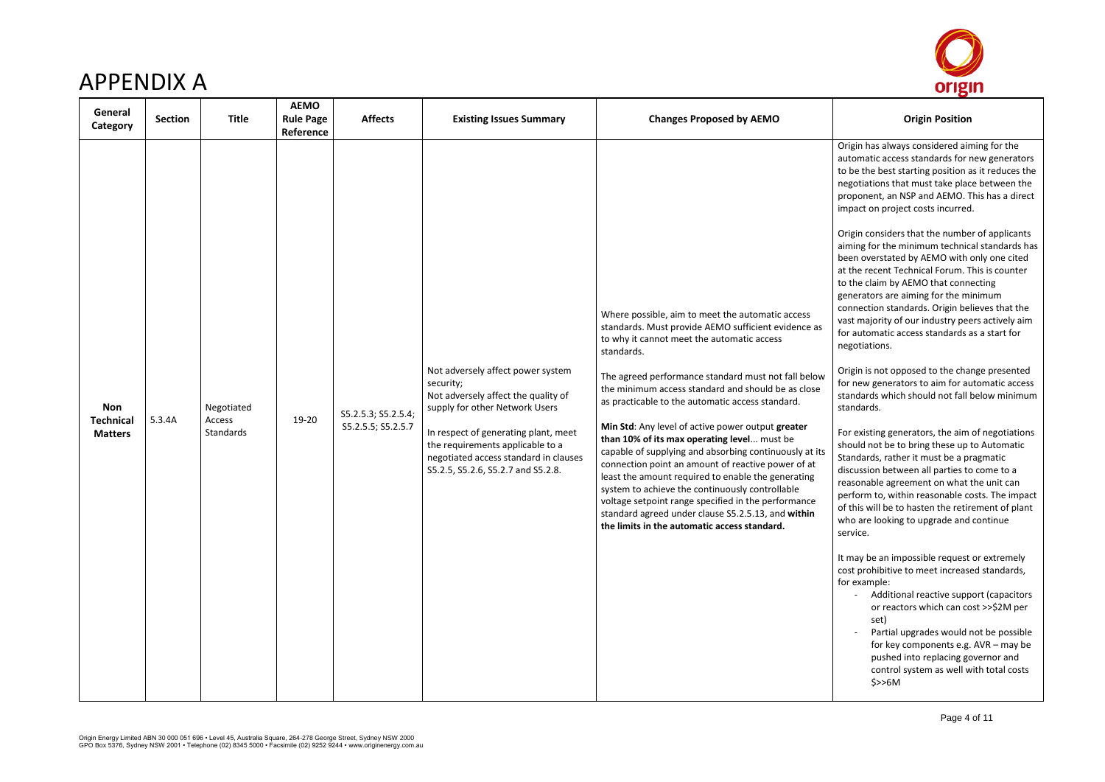

# APPENDIX A

| General<br>Category                              | Section | <b>Title</b>                      | <b>AEMO</b><br><b>Rule Page</b><br>Reference | <b>Affects</b>                            | <b>Existing Issues Summary</b>                                                                                                                                                                                                                                                     | <b>Changes Proposed by AEMO</b>                                                                                                                                                                                                                                                                                                                                                                                                                                                                                                                                                                                                                                                                                                                                                                                                | <b>Origin Position</b>                                                                                                                                                                                                                                                                                                                                                                                                                                                                                                                                                                                                                                                                                                                                                                                                                                                                                                                                                                                                                                                                                                                                                                                                                                                                  |
|--------------------------------------------------|---------|-----------------------------------|----------------------------------------------|-------------------------------------------|------------------------------------------------------------------------------------------------------------------------------------------------------------------------------------------------------------------------------------------------------------------------------------|--------------------------------------------------------------------------------------------------------------------------------------------------------------------------------------------------------------------------------------------------------------------------------------------------------------------------------------------------------------------------------------------------------------------------------------------------------------------------------------------------------------------------------------------------------------------------------------------------------------------------------------------------------------------------------------------------------------------------------------------------------------------------------------------------------------------------------|-----------------------------------------------------------------------------------------------------------------------------------------------------------------------------------------------------------------------------------------------------------------------------------------------------------------------------------------------------------------------------------------------------------------------------------------------------------------------------------------------------------------------------------------------------------------------------------------------------------------------------------------------------------------------------------------------------------------------------------------------------------------------------------------------------------------------------------------------------------------------------------------------------------------------------------------------------------------------------------------------------------------------------------------------------------------------------------------------------------------------------------------------------------------------------------------------------------------------------------------------------------------------------------------|
| <b>Non</b><br><b>Technical</b><br><b>Matters</b> | 5.3.4A  | Negotiated<br>Access<br>Standards | 19-20                                        | S5.2.5.3; S5.2.5.4;<br>S5.2.5.5; S5.2.5.7 | Not adversely affect power system<br>security;<br>Not adversely affect the quality of<br>supply for other Network Users<br>In respect of generating plant, meet<br>the requirements applicable to a<br>negotiated access standard in clauses<br>S5.2.5, S5.2.6, S5.2.7 and S5.2.8. | Where possible, aim to meet the automatic access<br>standards. Must provide AEMO sufficient evidence as<br>to why it cannot meet the automatic access<br>standards.<br>The agreed performance standard must not fall below<br>the minimum access standard and should be as close<br>as practicable to the automatic access standard.<br>Min Std: Any level of active power output greater<br>than 10% of its max operating level must be<br>capable of supplying and absorbing continuously at its<br>connection point an amount of reactive power of at<br>least the amount required to enable the generating<br>system to achieve the continuously controllable<br>voltage setpoint range specified in the performance<br>standard agreed under clause S5.2.5.13, and within<br>the limits in the automatic access standard. | Origin has always considered air<br>automatic access standards for r<br>to be the best starting position a<br>negotiations that must take plac<br>proponent, an NSP and AEMO. T<br>impact on project costs incurred<br>Origin considers that the numbe<br>aiming for the minimum technic<br>been overstated by AEMO with<br>at the recent Technical Forum. T<br>to the claim by AEMO that conne<br>generators are aiming for the mi<br>connection standards. Origin bel<br>vast majority of our industry pee<br>for automatic access standards a<br>negotiations.<br>Origin is not opposed to the cha<br>for new generators to aim for au<br>standards which should not fall I<br>standards.<br>For existing generators, the aim<br>should not be to bring these up<br>Standards, rather it must be a pr<br>discussion between all parties to<br>reasonable agreement on what<br>perform to, within reasonable co<br>of this will be to hasten the retir<br>who are looking to upgrade and<br>service.<br>It may be an impossible request<br>cost prohibitive to meet increase<br>for example:<br>Additional reactive supp<br>or reactors which can co<br>set)<br>Partial upgrades would r<br>for key components e.g.<br>pushed into replacing go<br>control system as well w<br>\$>>6M |

Origin has always considered aiming for the automatic access standards for new generators to be the best starting position as it reduces the negotiations that must take place between the proponent, an NSP and AEMO. This has a direct impact on project costs incurred.

Origin considers that the number of applicants aiming for the minimum technical standards has been overstated by AEMO with only one cited at the recent Technical Forum. This is counter to the claim by AEMO that connecting generators are aiming for the minimum connection standards. Origin believes that the vast majority of our industry peers actively aim for automatic access standards as a start for negotiations.

Origin is not opposed to the change presented for new generators to aim for automatic access standards which should not fall below minimum standards.

For existing generators, the aim of negotiations should not be to bring these up to Automatic Standards, rather it must be a pragmatic discussion between all parties to come to a reasonable agreement on what the unit can perform to, within reasonable costs. The impact of this will be to hasten the retirement of plant who are looking to upgrade and continue service.

It may be an impossible request or extremely cost prohibitive to meet increased standards, for example:

- Additional reactive support (capacitors or reactors which can cost >>\$2M per set)
- Partial upgrades would not be possible for key components e.g. AVR – may be pushed into replacing governor and control system as well with total costs \$>>6M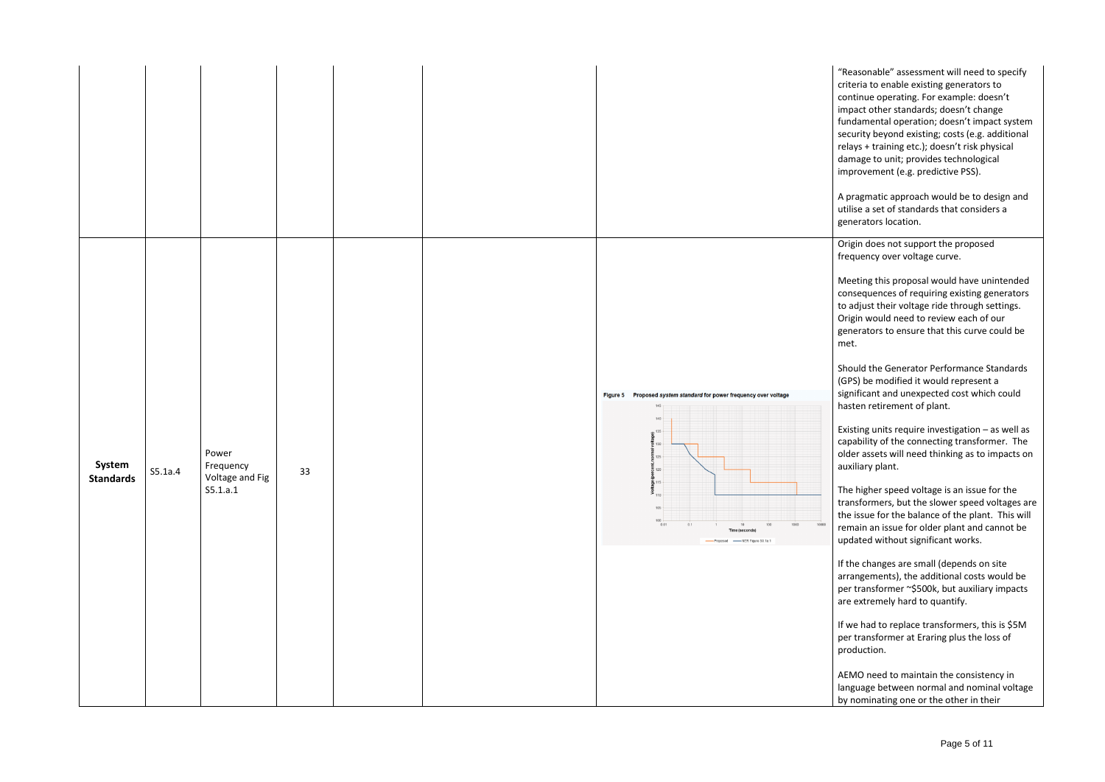"Reasonable" assessment will need to specify criteria to enable existing generators to continue operating. For example: doesn't impact other standards; doesn't change fundamental operation; doesn't impact system security beyond existing; costs (e.g. additional relays + training etc.); doesn't risk physical damage to unit; provides technological improvement (e.g. predictive PSS).

A pragmatic approach would be to design and utilise a set of standards that considers a generators location .

| System<br><b>Standards</b> | S5.1a.4 | Power<br>Frequency<br>Voltage and Fig<br>S5.1.a.1 | 33 |  | Figure 5 Proposed system standard for power frequency over voltage<br>$145 -$<br>$140 -$<br>$\frac{2}{9}$ <sup>135</sup><br><b>cent</b> , normal volta<br><b>Cent</b> , normal volta<br>120<br><b>ge desided</b><br><b>Solid</b><br>$\frac{115}{110}$<br>$105 -$<br>$100$<br>$0.01$<br>0.1<br>1000<br>10000<br>100<br>10<br><b>Time (seconds)</b><br>-Proposed ------ NER Figure S5.1a.1 |
|----------------------------|---------|---------------------------------------------------|----|--|------------------------------------------------------------------------------------------------------------------------------------------------------------------------------------------------------------------------------------------------------------------------------------------------------------------------------------------------------------------------------------------|

Origin does not support the proposed frequency over voltage curve.

Meeting this proposal would have unintended consequences of requiring existing generators to adjust their voltage ride through settings. Origin would need to review each of our generators to ensure that this curve could be met.

Should the Generator Performance Standards (GPS) be modified it would represent a sign ificant and unexpected cost which could hasten retirement of plant.

Existing units require investigation – as well as capability of the connecting transformer. The older assets will need thinking as to impacts on auxiliary plant.

The higher speed voltage is an issue for the transformers, but the slower speed voltages are the issue for the balance of the plant. This will remain an issue for older plant and cannot be updated without significant works.

If the changes are small (depends on site arrangements), the additional costs would be per transformer ~\$500k, but auxiliary impacts are extremely hard to quantify.

If we had to replace transformers, this is \$5M per transformer at Eraring plus the loss of production.

AEMO need to maintain the consistency in language between normal and nominal voltage by nominating one or the other in their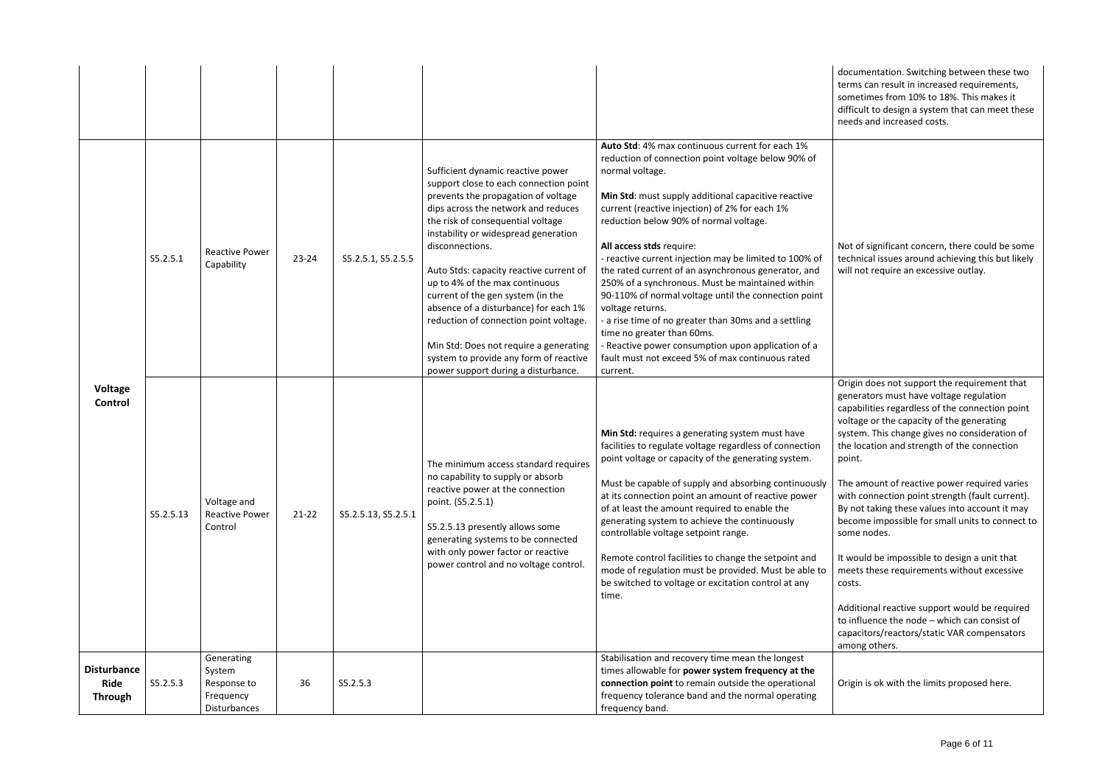documentation. Switching between these two terms can result in increased requirements, sometimes from 10% to 18%. This makes it difficult to design a system that can meet these needs and increased costs.

Not of significant concern, there could be some technical issues around achieving this but likely will not require an excessive outlay.

|                                                     | S5.2.5.1  | <b>Reactive Power</b><br>Capability                              | $23 - 24$ | S5.2.5.1, S5.2.5.5  | Sufficient dynamic reactive power<br>support close to each connection point<br>prevents the propagation of voltage<br>dips across the network and reduces<br>the risk of consequential voltage<br>instability or widespread generation<br>disconnections.<br>Auto Stds: capacity reactive current of<br>up to 4% of the max continuous<br>current of the gen system (in the<br>absence of a disturbance) for each 1%<br>reduction of connection point voltage.<br>Min Std: Does not require a generating<br>system to provide any form of reactive<br>power support during a disturbance. | Auto Std: 4% max continuous current for each 1%<br>reduction of connection point voltage below 90% of<br>normal voltage.<br>Min Std: must supply additional capacitive reactive<br>current (reactive injection) of 2% for each 1%<br>reduction below 90% of normal voltage.<br>All access stds require:<br>- reactive current injection may be limited to 100% of<br>the rated current of an asynchronous generator, and<br>250% of a synchronous. Must be maintained within<br>90-110% of normal voltage until the connection point<br>voltage returns.<br>- a rise time of no greater than 30ms and a settling<br>time no greater than 60ms.<br>Reactive power consumption upon application of a<br>fault must not exceed 5% of max continuous rated<br>current. |
|-----------------------------------------------------|-----------|------------------------------------------------------------------|-----------|---------------------|-------------------------------------------------------------------------------------------------------------------------------------------------------------------------------------------------------------------------------------------------------------------------------------------------------------------------------------------------------------------------------------------------------------------------------------------------------------------------------------------------------------------------------------------------------------------------------------------|--------------------------------------------------------------------------------------------------------------------------------------------------------------------------------------------------------------------------------------------------------------------------------------------------------------------------------------------------------------------------------------------------------------------------------------------------------------------------------------------------------------------------------------------------------------------------------------------------------------------------------------------------------------------------------------------------------------------------------------------------------------------|
| Voltage<br>Control                                  | S5.2.5.13 | Voltage and<br><b>Reactive Power</b><br>Control                  | $21 - 22$ | S5.2.5.13, S5.2.5.1 | The minimum access standard requires<br>no capability to supply or absorb<br>reactive power at the connection<br>point. (S5.2.5.1)<br>S5.2.5.13 presently allows some<br>generating systems to be connected<br>with only power factor or reactive<br>power control and no voltage control.                                                                                                                                                                                                                                                                                                | Min Std: requires a generating system must have<br>facilities to regulate voltage regardless of connection<br>point voltage or capacity of the generating system.<br>Must be capable of supply and absorbing continuously<br>at its connection point an amount of reactive power<br>of at least the amount required to enable the<br>generating system to achieve the continuously<br>controllable voltage setpoint range.<br>Remote control facilities to change the setpoint and<br>mode of regulation must be provided. Must be able to<br>be switched to voltage or excitation control at any<br>time.                                                                                                                                                         |
| <b>Disturbance</b><br><b>Ride</b><br><b>Through</b> | S5.2.5.3  | Generating<br>System<br>Response to<br>Frequency<br>Disturbances | 36        | S5.2.5.3            |                                                                                                                                                                                                                                                                                                                                                                                                                                                                                                                                                                                           | Stabilisation and recovery time mean the longest<br>times allowable for power system frequency at the<br>connection point to remain outside the operational<br>frequency tolerance band and the normal operating<br>frequency band.                                                                                                                                                                                                                                                                                                                                                                                                                                                                                                                                |

Origin does not support the requirement that generators must have voltage regulation capabilities regardless of the connection point voltage or the capacity of the generating system. This change gives no consideration of the location and strength of the connection point.

The amount of reactive power required varies with connection point strength (fault current). By not taking these values into account it may become impossible for small units to connect to some nodes.

It would be impossible to design a unit that meets these requirements without excessive costs.

Additional reactive support would be required to influence the node – which can consist of capacitors/reactors/static VAR compensators among others.

Origin is ok with the limits proposed here.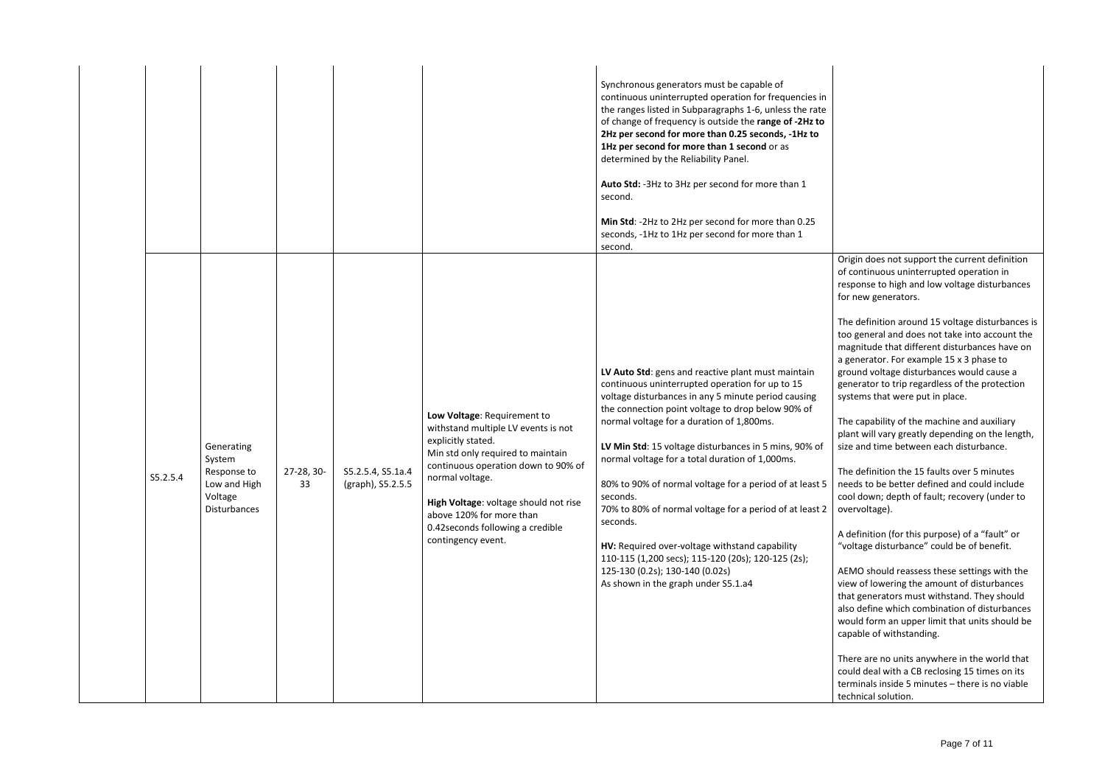|          |                                                                                |                  |                                        |                                                                                                                                                                                                                                                                                                                         | Synchronous generators must be capable of<br>continuous uninterrupted operation for frequencies in<br>the ranges listed in Subparagraphs 1-6, unless the rate<br>of change of frequency is outside the range of -2Hz to<br>2Hz per second for more than 0.25 seconds, -1Hz to<br>1Hz per second for more than 1 second or as<br>determined by the Reliability Panel.<br>Auto Std: - 3Hz to 3Hz per second for more than 1<br>second.<br>Min Std: -2Hz to 2Hz per second for more than 0.25<br>seconds, -1Hz to 1Hz per second for more than 1<br>second.                                                                                                                                                   |
|----------|--------------------------------------------------------------------------------|------------------|----------------------------------------|-------------------------------------------------------------------------------------------------------------------------------------------------------------------------------------------------------------------------------------------------------------------------------------------------------------------------|------------------------------------------------------------------------------------------------------------------------------------------------------------------------------------------------------------------------------------------------------------------------------------------------------------------------------------------------------------------------------------------------------------------------------------------------------------------------------------------------------------------------------------------------------------------------------------------------------------------------------------------------------------------------------------------------------------|
| S5.2.5.4 | Generating<br>System<br>Response to<br>Low and High<br>Voltage<br>Disturbances | 27-28, 30-<br>33 | S5.2.5.4, S5.1a.4<br>(graph), S5.2.5.5 | Low Voltage: Requirement to<br>withstand multiple LV events is not<br>explicitly stated.<br>Min std only required to maintain<br>continuous operation down to 90% of<br>normal voltage.<br>High Voltage: voltage should not rise<br>above 120% for more than<br>0.42 seconds following a credible<br>contingency event. | LV Auto Std: gens and reactive plant must maintain<br>continuous uninterrupted operation for up to 15<br>voltage disturbances in any 5 minute period causing<br>the connection point voltage to drop below 90% of<br>normal voltage for a duration of 1,800ms.<br>LV Min Std: 15 voltage disturbances in 5 mins, 90% of<br>normal voltage for a total duration of 1,000ms.<br>80% to 90% of normal voltage for a period of at least 5<br>seconds.<br>70% to 80% of normal voltage for a period of at least 2<br>seconds.<br>HV: Required over-voltage withstand capability<br>110-115 (1,200 secs); 115-120 (20s); 120-125 (2s);<br>125-130 (0.2s); 130-140 (0.02s)<br>As shown in the graph under S5.1.a4 |

Origin does not support the current definition of continuous uninterrupted operation in response to high and low voltage disturbances for new generators.

The definition around 15 voltage disturbances is too general and does not take into account the magnitude that different disturbances have on a generator. For example 15 x 3 phase to ground voltage disturbances would cause a generator to trip regardless of the protection systems that were put in place.

The capability of the machine and auxiliary plant will vary greatly depending on the length, size and time between each disturbance.

The definition the 15 faults over 5 minutes needs to be better defined and could include cool down; depth of fault; recovery (under to overvoltage).

A definition (for this purpose) of a "fault" or "voltage disturbance" could be of benefit.

AEMO should reassess these settings with the view of lowering the amount of disturbances that generators must withstand. They should also define which combination of disturbances would form an upper limit that units should be capable of withstanding.

There are no units anywhere in the world that could deal with a CB reclosing 15 times on its terminals inside 5 minutes – there is no viable technical solution.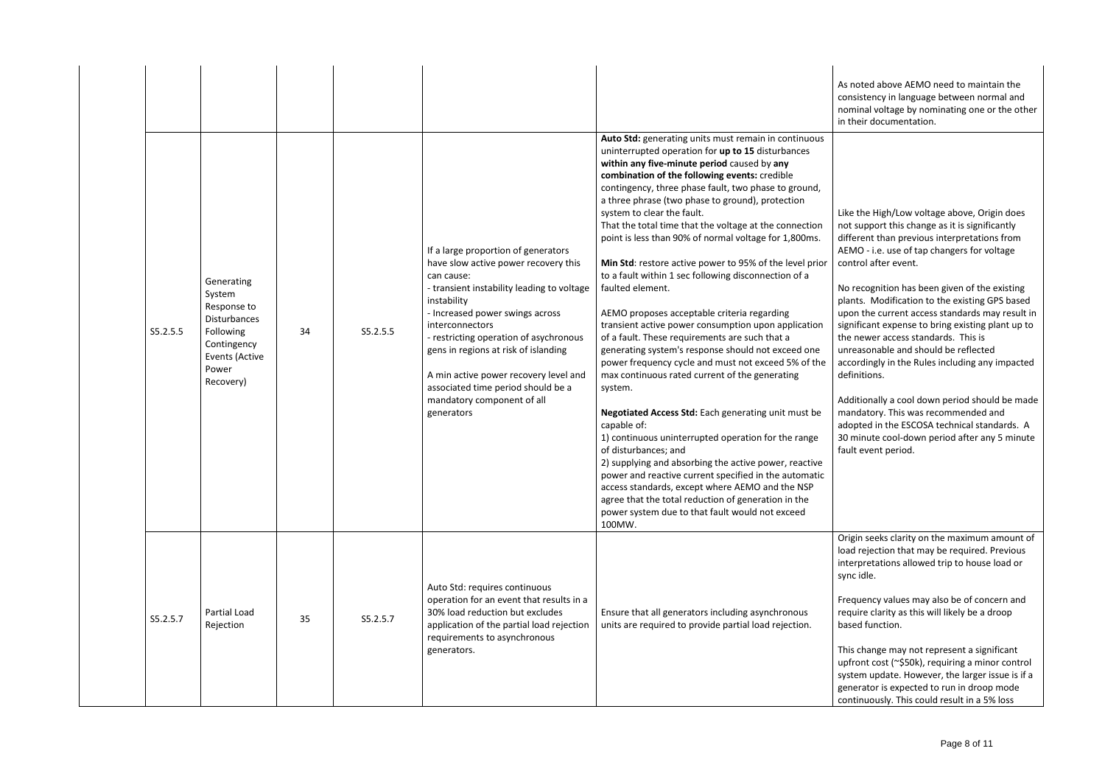As noted above AEMO need to maintain the consistency in language between normal and nominal voltage by nominating one or the other in their documentation.

| S5.2.5.5 | Generating<br>System<br>Response to<br><b>Disturbances</b><br>Following<br>Contingency<br>Events (Active<br>Power<br>Recovery) | 34 | S5.2.5.5 | If a large proportion of generators<br>have slow active power recovery this<br>can cause:<br>- transient instability leading to voltage<br>instability<br>- Increased power swings across<br>interconnectors<br>- restricting operation of asychronous<br>gens in regions at risk of islanding<br>A min active power recovery level and<br>associated time period should be a<br>mandatory component of all<br>generators | Auto Std: generating units must remain in continuous<br>uninterrupted operation for up to 15 disturbances<br>within any five-minute period caused by any<br>combination of the following events: credible<br>contingency, three phase fault, two phase to ground,<br>a three phrase (two phase to ground), protection<br>system to clear the fault.<br>That the total time that the voltage at the connection<br>point is less than 90% of normal voltage for 1,800ms.<br>Min Std: restore active power to 95% of the level prior<br>to a fault within 1 sec following disconnection of a<br>faulted element.<br>AEMO proposes acceptable criteria regarding<br>transient active power consumption upon application<br>of a fault. These requirements are such that a<br>generating system's response should not exceed one<br>power frequency cycle and must not exceed 5% of the<br>max continuous rated current of the generating<br>system.<br>Negotiated Access Std: Each generating unit must be<br>capable of:<br>1) continuous uninterrupted operation for the range<br>of disturbances; and<br>2) supplying and absorbing the active power, reactive<br>power and reactive current specified in the automatic<br>access standards, except where AEMO and the NSP<br>agree that the total reduction of generation in the<br>power system due to that fault would not exceed<br>100MW. |
|----------|--------------------------------------------------------------------------------------------------------------------------------|----|----------|---------------------------------------------------------------------------------------------------------------------------------------------------------------------------------------------------------------------------------------------------------------------------------------------------------------------------------------------------------------------------------------------------------------------------|-----------------------------------------------------------------------------------------------------------------------------------------------------------------------------------------------------------------------------------------------------------------------------------------------------------------------------------------------------------------------------------------------------------------------------------------------------------------------------------------------------------------------------------------------------------------------------------------------------------------------------------------------------------------------------------------------------------------------------------------------------------------------------------------------------------------------------------------------------------------------------------------------------------------------------------------------------------------------------------------------------------------------------------------------------------------------------------------------------------------------------------------------------------------------------------------------------------------------------------------------------------------------------------------------------------------------------------------------------------------------------------------------|
| S5.2.5.7 | Partial Load<br>Rejection                                                                                                      | 35 | S5.2.5.7 | Auto Std: requires continuous<br>operation for an event that results in a<br>30% load reduction but excludes<br>application of the partial load rejection<br>requirements to asynchronous<br>generators.                                                                                                                                                                                                                  | Ensure that all generators including asynchronous<br>units are required to provide partial load rejection.                                                                                                                                                                                                                                                                                                                                                                                                                                                                                                                                                                                                                                                                                                                                                                                                                                                                                                                                                                                                                                                                                                                                                                                                                                                                                    |

Like the High/Low voltage above, Origin does not support this change as it is significantly different than previous interpretations from AEMO - i.e. use of tap changers for voltage control after event.

No recognition has been given of the existing plants. Modification to the existing GPS based upon the current access standards may result in significant expense to bring existing plant up to the newer access standards. This is unreasonable and should be reflected accordingly in the Rules including any impacted definitions.

Additionally a cool down period should be made mandatory. This was recommended and adopted in the ESCOSA technical standards. A 30 minute cool-down period after any 5 minute fault event period.

Origin seeks clarity on the maximum amount of load rejection that may be required. Previous interpretations allowed trip to house load or sync idle.

Frequency values may also be of concern and require clarity as this will likely be a droop based function.

This change may not represent a significant upfront cost (~\$50k), requiring a minor control system update. However, the larger issue is if a generator is expected to run in droop mode continuously. This could result in a 5% loss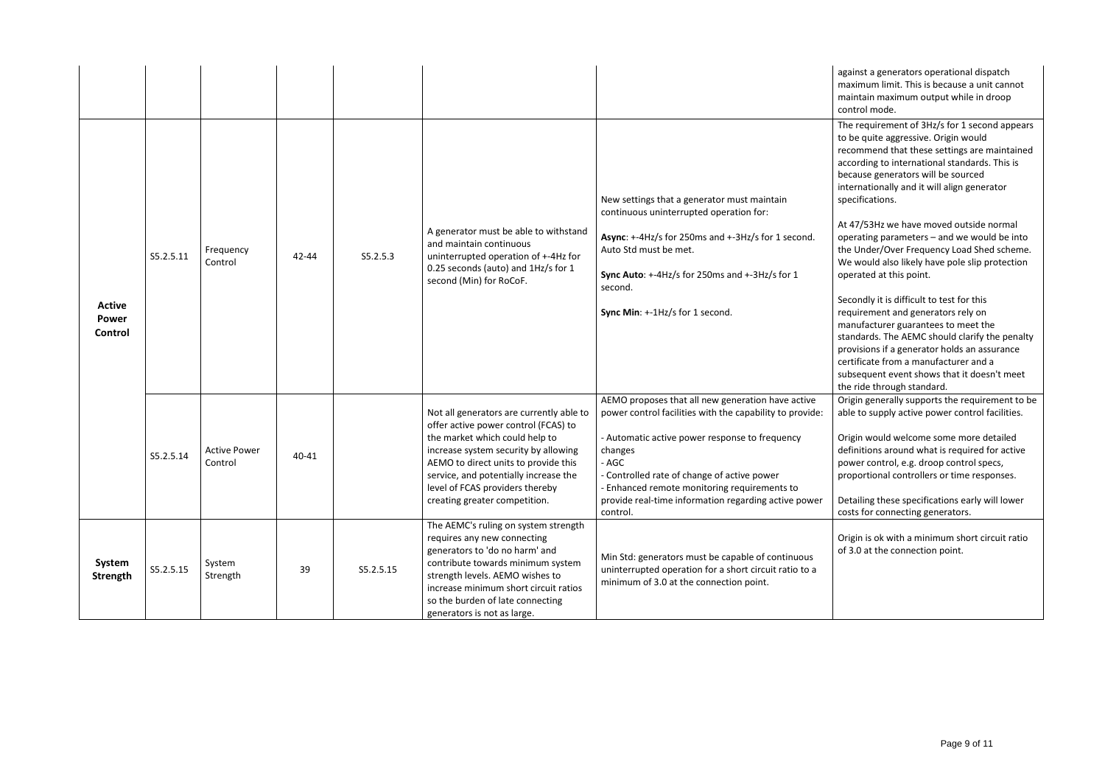against a generators operational dispatch maximum limit. This is because a unit cannot maintain maximum output while in droop control mode.

The requirement of 3Hz/s for 1 second appears to be quite aggressive. Origin would recommend that these settings are maintained according to international standards. This is because generators will be sourced internationally and it will align generator specifications.

At 47/53Hz we have moved outside normal operating parameters – and we would be into the Under/Over Frequency Load Shed scheme. We would also likely have pole slip protection operated at this point.

Secondly it is difficult to test for this requirement and generators rely on manufacturer guarantees to meet the standards. The AEMC should clarify the penalty provisions if a generator holds an assurance certificate from a manufacturer and a subsequent event shows that it doesn't meet the ride through standard.

| <b>Active</b><br><b>Power</b><br>Control | S5.2.5.11 | Frequency<br>Control           | 42-44 | S5.2.5.3  | A generator must be able to withstand<br>and maintain continuous<br>uninterrupted operation of +-4Hz for<br>0.25 seconds (auto) and 1Hz/s for 1<br>second (Min) for RoCoF.                                                                                                                                      | New settings that a generator must maintain<br>continuous uninterrupted operation for:<br>Async: +-4Hz/s for 250ms and +-3Hz/s for 1 second.<br>Auto Std must be met.<br>Sync Auto: +-4Hz/s for 250ms and +-3Hz/s for 1<br>second.<br>Sync Min: +-1Hz/s for 1 second.                                                                                  |
|------------------------------------------|-----------|--------------------------------|-------|-----------|-----------------------------------------------------------------------------------------------------------------------------------------------------------------------------------------------------------------------------------------------------------------------------------------------------------------|--------------------------------------------------------------------------------------------------------------------------------------------------------------------------------------------------------------------------------------------------------------------------------------------------------------------------------------------------------|
|                                          | S5.2.5.14 | <b>Active Power</b><br>Control | 40-41 |           | Not all generators are currently able to<br>offer active power control (FCAS) to<br>the market which could help to<br>increase system security by allowing<br>AEMO to direct units to provide this<br>service, and potentially increase the<br>level of FCAS providers thereby<br>creating greater competition. | AEMO proposes that all new generation have active<br>power control facilities with the capability to provide:<br>- Automatic active power response to frequency<br>changes<br>- AGC<br>- Controlled rate of change of active power<br>- Enhanced remote monitoring requirements to<br>provide real-time information regarding active power<br>control. |
| System<br><b>Strength</b>                | S5.2.5.15 | System<br>Strength             | 39    | S5.2.5.15 | The AEMC's ruling on system strength<br>requires any new connecting<br>generators to 'do no harm' and<br>contribute towards minimum system<br>strength levels. AEMO wishes to<br>increase minimum short circuit ratios<br>so the burden of late connecting<br>generators is not as large.                       | Min Std: generators must be capable of continuous<br>uninterrupted operation for a short circuit ratio to a<br>minimum of 3.0 at the connection point.                                                                                                                                                                                                 |

Origin generally supports the requirement to be able to supply active power control facilities.

Origin would welcome some more detailed definitions around what is required for active power control, e.g. droop control specs, proportional controllers or time responses.

Detailing these specifications early will lower costs for connecting generators.

Origin is ok with a minimum short circuit ratio of 3.0 at the connection point.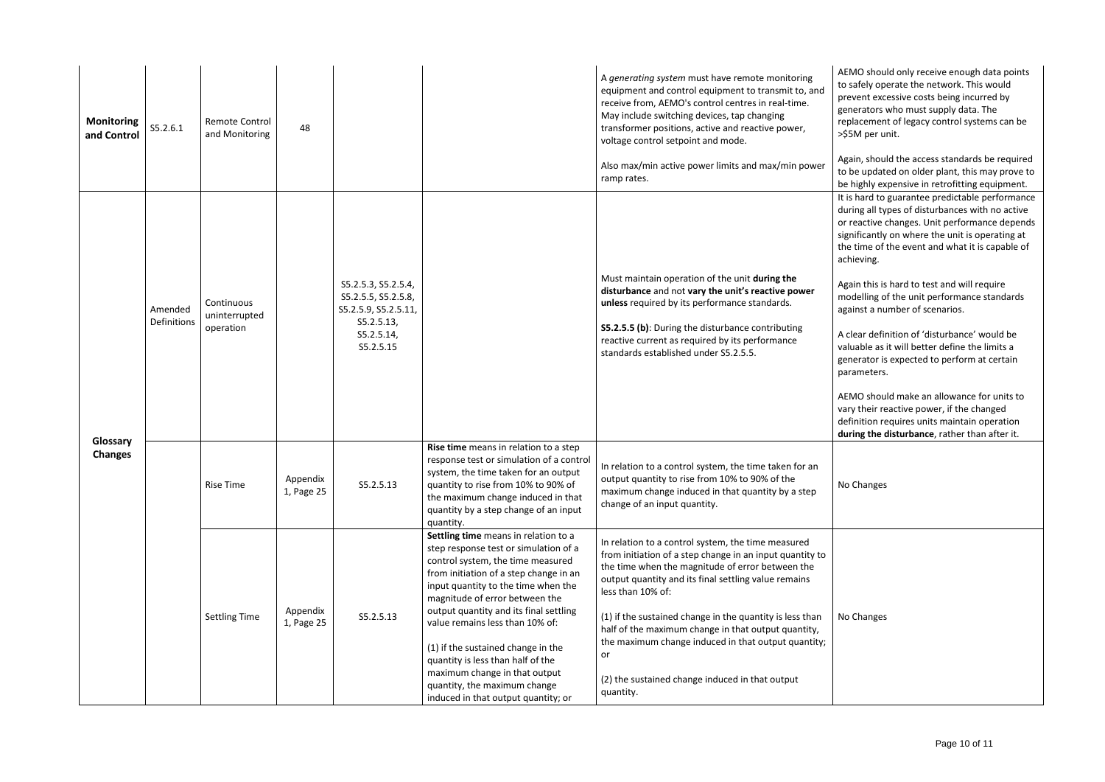AEMO should only receive enough data points to safely operate the network. This would prevent excessive costs being incurred by generators who must supply data. The replacement of legacy control systems can be >\$5M per unit.

Again, should the access standards be required to be updated on older plant, this may prove to be highly expensive in retrofitting equipment. It is hard to guarantee predictable performance during all types of disturbances with no active or reactive changes. Unit performance depends significantly on where the unit is operating at the time of the event and what it is capable of achieving.

Again this is hard to test and will require modelling of the unit performance standards against a number of scenarios.

| <b>Monitoring</b><br>and Control | S5.2.6.1               | Remote Control<br>and Monitoring         | 48                     |                                                                                                             |                                                                                                                                                                                                                                                                                                                                                                                                                                                                                                       | A generating system must have remote monitoring<br>equipment and control equipment to transmit to, and<br>receive from, AEMO's control centres in real-time.<br>May include switching devices, tap changing<br>transformer positions, active and reactive power,<br>voltage control setpoint and mode.<br>Also max/min active power limits and max/min power<br>ramp rates.                                                                                                                     |
|----------------------------------|------------------------|------------------------------------------|------------------------|-------------------------------------------------------------------------------------------------------------|-------------------------------------------------------------------------------------------------------------------------------------------------------------------------------------------------------------------------------------------------------------------------------------------------------------------------------------------------------------------------------------------------------------------------------------------------------------------------------------------------------|-------------------------------------------------------------------------------------------------------------------------------------------------------------------------------------------------------------------------------------------------------------------------------------------------------------------------------------------------------------------------------------------------------------------------------------------------------------------------------------------------|
|                                  | Amended<br>Definitions | Continuous<br>uninterrupted<br>operation |                        | S5.2.5.3, S5.2.5.4,<br>S5.2.5.5, S5.2.5.8,<br>S5.2.5.9, S5.2.5.11,<br>S5.2.5.13,<br>S5.2.5.14,<br>S5.2.5.15 |                                                                                                                                                                                                                                                                                                                                                                                                                                                                                                       | Must maintain operation of the unit during the<br>disturbance and not vary the unit's reactive power<br>unless required by its performance standards.<br>S5.2.5.5 (b): During the disturbance contributing<br>reactive current as required by its performance<br>standards established under S5.2.5.5.                                                                                                                                                                                          |
| Glossary<br><b>Changes</b>       |                        | <b>Rise Time</b>                         | Appendix<br>1, Page 25 | S5.2.5.13                                                                                                   | Rise time means in relation to a step<br>response test or simulation of a control<br>system, the time taken for an output<br>quantity to rise from 10% to 90% of<br>the maximum change induced in that<br>quantity by a step change of an input<br>quantity.                                                                                                                                                                                                                                          | In relation to a control system, the time taken for an<br>output quantity to rise from 10% to 90% of the<br>maximum change induced in that quantity by a step<br>change of an input quantity.                                                                                                                                                                                                                                                                                                   |
|                                  |                        | <b>Settling Time</b>                     | Appendix<br>1, Page 25 | S5.2.5.13                                                                                                   | Settling time means in relation to a<br>step response test or simulation of a<br>control system, the time measured<br>from initiation of a step change in an<br>input quantity to the time when the<br>magnitude of error between the<br>output quantity and its final settling<br>value remains less than 10% of:<br>(1) if the sustained change in the<br>quantity is less than half of the<br>maximum change in that output<br>quantity, the maximum change<br>induced in that output quantity; or | In relation to a control system, the time measured<br>from initiation of a step change in an input quantity to<br>the time when the magnitude of error between the<br>output quantity and its final settling value remains<br>less than 10% of:<br>(1) if the sustained change in the quantity is less than<br>half of the maximum change in that output quantity,<br>the maximum change induced in that output quantity;<br>or<br>(2) the sustained change induced in that output<br>quantity. |

A clear definition of 'disturbance' would be valuable as it will better define the limits a generator is expected to perform at certain parameters.

AEMO should make an allowance for units to vary their reactive power, if the changed definition requires units maintain operation **during the disturbance**, rather than after it.

No Changes

No Changes